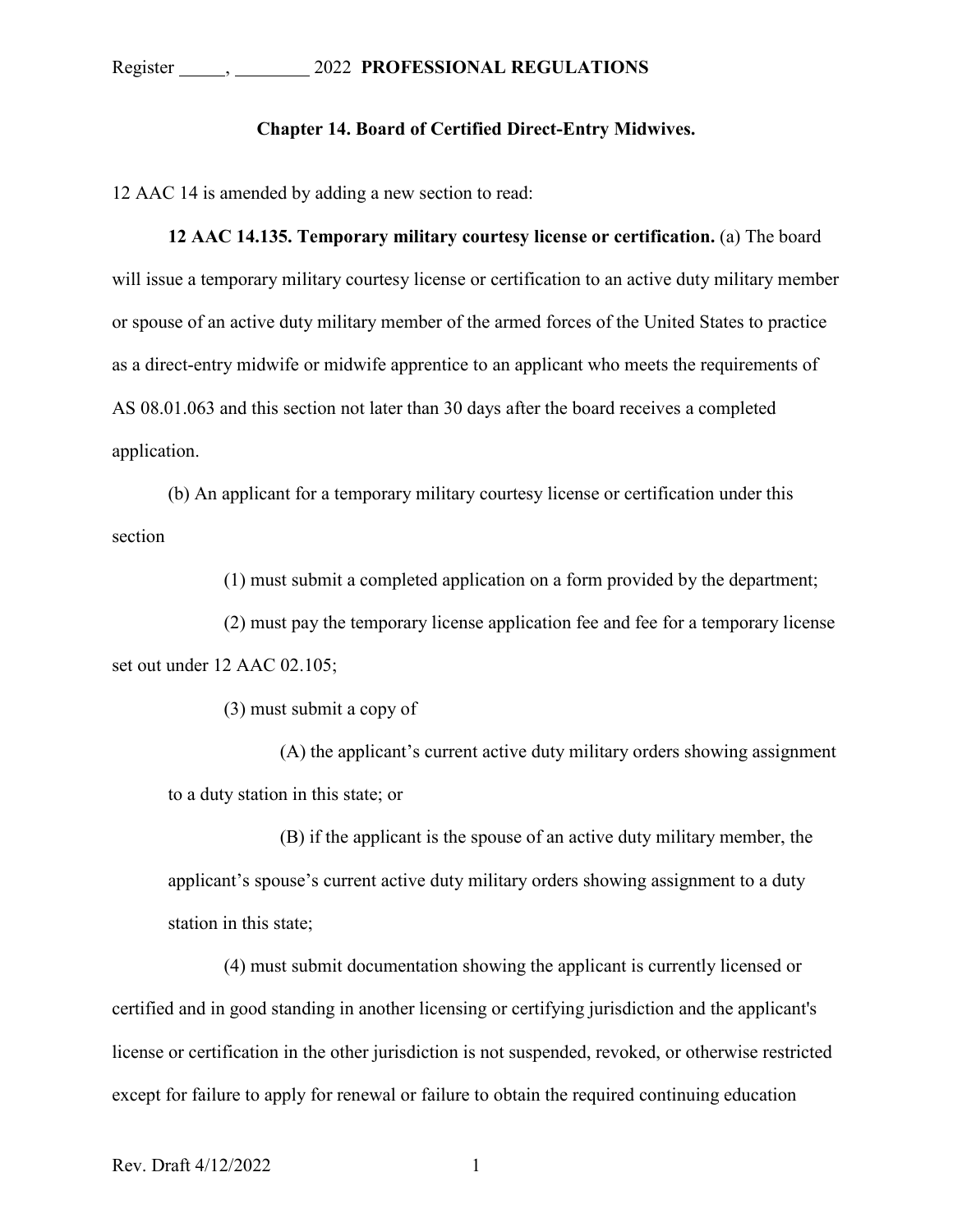## **Chapter 14. Board of Certified Direct-Entry Midwives.**

12 AAC 14 is amended by adding a new section to read:

**12 AAC 14.135. Temporary military courtesy license or certification.** (a) The board will issue a temporary military courtesy license or certification to an active duty military member or spouse of an active duty military member of the armed forces of the United States to practice as a direct-entry midwife or midwife apprentice to an applicant who meets the requirements of AS 08.01.063 and this section not later than 30 days after the board receives a completed application.

(b) An applicant for a temporary military courtesy license or certification under this section

(1) must submit a completed application on a form provided by the department;

(2) must pay the temporary license application fee and fee for a temporary license set out under 12 AAC 02.105;

(3) must submit a copy of

(A) the applicant's current active duty military orders showing assignment to a duty station in this state; or

(B) if the applicant is the spouse of an active duty military member, the applicant's spouse's current active duty military orders showing assignment to a duty station in this state;

(4) must submit documentation showing the applicant is currently licensed or certified and in good standing in another licensing or certifying jurisdiction and the applicant's license or certification in the other jurisdiction is not suspended, revoked, or otherwise restricted except for failure to apply for renewal or failure to obtain the required continuing education